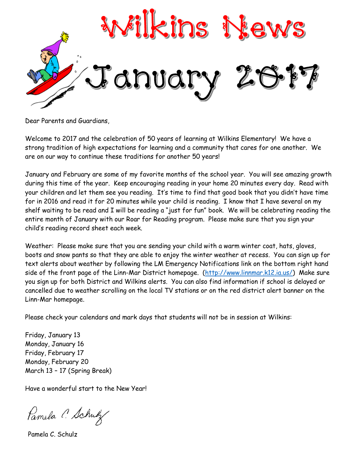

Dear Parents and Guardians,

Welcome to 2017 and the celebration of 50 years of learning at Wilkins Elementary! We have a strong tradition of high expectations for learning and a community that cares for one another. We are on our way to continue these traditions for another 50 years!

January and February are some of my favorite months of the school year. You will see amazing growth during this time of the year. Keep encouraging reading in your home 20 minutes every day. Read with your children and let them see you reading. It's time to find that good book that you didn't have time for in 2016 and read it for 20 minutes while your child is reading. I know that I have several on my shelf waiting to be read and I will be reading a "just for fun" book. We will be celebrating reading the entire month of January with our Roar for Reading program. Please make sure that you sign your child's reading record sheet each week.

Weather: Please make sure that you are sending your child with a warm winter coat, hats, gloves, boots and snow pants so that they are able to enjoy the winter weather at recess. You can sign up for text alerts about weather by following the LM Emergency Notifications link on the bottom right hand side of the front page of the Linn-Mar District homepage. [\(http://www.linnmar.k12.ia.us/\)](http://www.linnmar.k12.ia.us/) Make sure you sign up for both District and Wilkins alerts. You can also find information if school is delayed or cancelled due to weather scrolling on the local TV stations or on the red district alert banner on the Linn-Mar homepage.

Please check your calendars and mark days that students will not be in session at Wilkins:

Friday, January 13 Monday, January 16 Friday, February 17 Monday, February 20 March 13 – 17 (Spring Break)

Have a wonderful start to the New Year!

Pamela C. Schulz

Pamela C. Schulz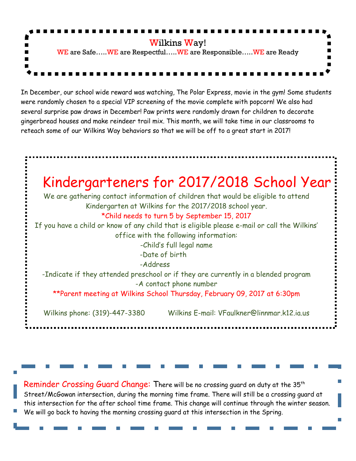

In December, our school wide reward was watching, The Polar Express, movie in the gym! Some students were randomly chosen to a special VIP screening of the movie complete with popcorn! We also had several surprise paw draws in December! Paw prints were randomly drawn for children to decorate gingerbread houses and make reindeer trail mix. This month, we will take time in our classrooms to reteach some of our Wilkins Way behaviors so that we will be off to a great start in 2017!



Reminder Crossing Guard Change: There will be no crossing quard on duty at the 35<sup>th</sup> Street/McGowan intersection, during the morning time frame. There will still be a crossing guard at this intersection for the after school time frame. This change will continue through the winter season. We will go back to having the morning crossing guard at this intersection in the Spring.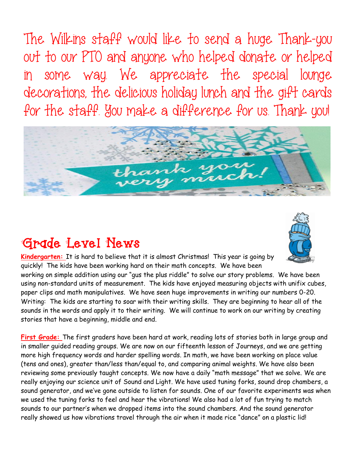The Wilkins staff would like to send a huge Thank-you out to our PTO and anyone who helped donate or helped in some way. We appreciate the special lounge decorations, the delicious holiday lunch and the gift cards for the staff. You make a difference for us. Thank you!



## **Grade Level News**



**Kindergarten:** It is hard to believe that it is almost Christmas! This year is going by quickly! The kids have been working hard on their math concepts. We have been

working on simple addition using our "gus the plus riddle" to solve our story problems. We have been using non-standard units of measurement. The kids have enjoyed measuring objects with unifix cubes, paper clips and math manipulatives. We have seen huge improvements in writing our numbers 0-20. Writing: The kids are starting to soar with their writing skills. They are beginning to hear all of the sounds in the words and apply it to their writing. We will continue to work on our writing by creating stories that have a beginning, middle and end.

**First Grade:** The first graders have been hard at work, reading lots of stories both in large group and in smaller guided reading groups. We are now on our fifteenth lesson of Journeys, and we are getting more high frequency words and harder spelling words. In math, we have been working on place value (tens and ones), greater than/less than/equal to, and comparing animal weights. We have also been reviewing some previously taught concepts. We now have a daily "math message" that we solve. We are really enjoying our science unit of Sound and Light. We have used tuning forks, sound drop chambers, a sound generator, and we've gone outside to listen for sounds. One of our favorite experiments was when we used the tuning forks to feel and hear the vibrations! We also had a lot of fun trying to match sounds to our partner's when we dropped items into the sound chambers. And the sound generator really showed us how vibrations travel through the air when it made rice "dance" on a plastic lid!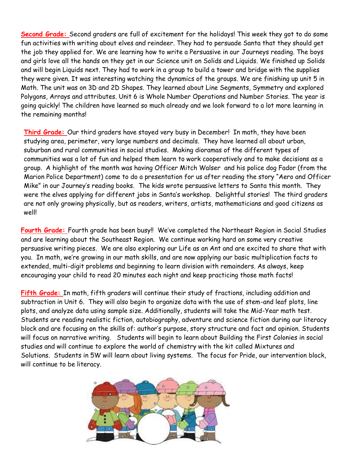**Second Grade:** Second graders are full of excitement for the holidays! This week they got to do some fun activities with writing about elves and reindeer. They had to persuade Santa that they should get the job they applied for. We are learning how to write a Persuasive in our Journeys reading. The boys and girls love all the hands on they get in our Science unit on Solids and Liquids. We finished up Solids and will begin Liquids next. They had to work in a group to build a tower and bridge with the supplies they were given. It was interesting watching the dynamics of the groups. We are finishing up unit 5 in Math. The unit was on 3D and 2D Shapes. They learned about Line Segments, Symmetry and explored Polygons, Arrays and attributes. Unit 6 is Whole Number Operations and Number Stories. The year is going quickly! The children have learned so much already and we look forward to a lot more learning in the remaining months!

**Third Grade:** Our third graders have stayed very busy in December! In math, they have been studying area, perimeter, very large numbers and decimals. They have learned all about urban, suburban and rural communities in social studies. Making dioramas of the different types of communities was a lot of fun and helped them learn to work cooperatively and to make decisions as a group. A highlight of the month was having Officer Mitch Walser and his police dog Fador (from the Marion Police Department) come to do a presentation for us after reading the story "Aero and Officer Mike" in our Journey's reading books. The kids wrote persuasive letters to Santa this month. They were the elves applying for different jobs in Santa's workshop. Delightful stories! The third graders are not only growing physically, but as readers, writers, artists, mathematicians and good citizens as well!

**Fourth Grade:** Fourth grade has been busy!! We've completed the Northeast Region in Social Studies and are learning about the Southeast Region. We continue working hard on some very creative persuasive writing pieces. We are also exploring our Life as an Ant and are excited to share that with you. In math, we're growing in our math skills, and are now applying our basic multiplication facts to extended, multi-digit problems and beginning to learn division with remainders. As always, keep encouraging your child to read 20 minutes each night and keep practicing those math facts!

**Fifth Grade:** In math, fifth graders will continue their study of fractions, including addition and subtraction in Unit 6. They will also begin to organize data with the use of stem-and leaf plots, line plots, and analyze data using sample size. Additionally, students will take the Mid-Year math test. Students are reading realistic fiction, autobiography, adventure and science fiction during our literacy block and are focusing on the skills of: author's purpose, story structure and fact and opinion. Students will focus on narrative writing. Students will begin to learn about Building the First Colonies in social studies and will continue to explore the world of chemistry with the kit called Mixtures and Solutions. Students in 5W will learn about living systems. The focus for Pride, our intervention block, will continue to be literacy.

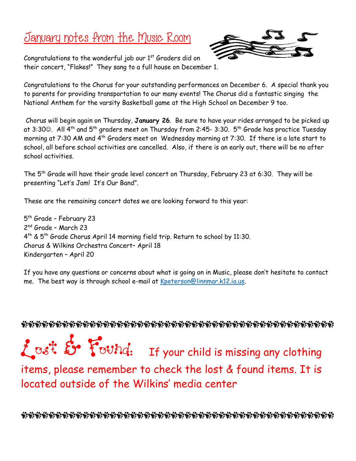## January notes from the Music Room



Congratulations to the wonderful job our  $1<sup>st</sup>$  Graders did on their concert, "Flakes!" They sang to a full house on December 1.

Congratulations to the Chorus for your outstanding performances on December 6. A special thank you to parents for providing transportation to our many events! The Chorus did a fantastic singing the National Anthem for the varsity Basketball game at the High School on December 9 too.

Chorus will begin again on Thursday, **January 26**. Be sure to have your rides arranged to be picked up at 3:30 $\odot$ . All 4<sup>th</sup> and 5<sup>th</sup> graders meet on Thursday from 2:45- 3:30. 5<sup>th</sup> Grade has practice Tuesday morning at 7:30 AM and 4<sup>th</sup> Graders meet on Wednesday morning at 7:30. If there is a late start to school, all before school activities are cancelled. Also, if there is an early out, there will be no after school activities.

The 5th Grade will have their grade level concert on Thursday, February 23 at 6:30. They will be presenting "Let's Jam! It's Our Band".

These are the remaining concert dates we are looking forward to this year:

5<sup>th</sup> Grade - February 23 2 nd Grade – March 23 4 th & 5th Grade Chorus April 14 morning field trip. Return to school by 11:30. Chorus & Wilkins Orchestra Concert– April 18 Kindergarten – April 20

If you have any questions or concerns about what is going on in Music, please don't hesitate to contact me. The best way is through school e-mail at [Kpeterson@linnmar.k12.ia.us.](mailto:Kpeterson@linnmar.k12.ia.us)

Lost & Found: If your child is missing any clothing items, please remember to check the lost & found items. It is

located outside of the Wilkins' media center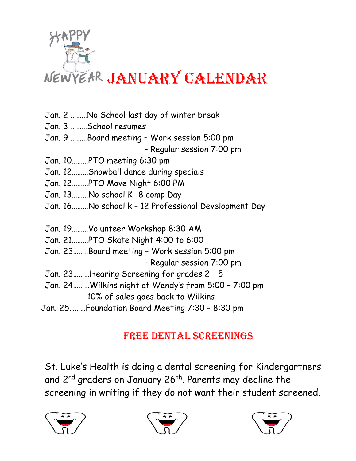

- Jan. 2 ………No School last day of winter break
- Jan. 3 ………School resumes
- Jan. 9 ………Board meeting Work session 5:00 pm - Regular session 7:00 pm
- Jan. 10………PTO meeting 6:30 pm
- Jan. 12………Snowball dance during specials
- Jan. 12………PTO Move Night 6:00 PM
- Jan. 13………No school K- 8 comp Day
- Jan. 16………No school k 12 Professional Development Day
- Jan. 19………Volunteer Workshop 8:30 AM
- Jan. 21………PTO Skate Night 4:00 to 6:00
- Jan. 23……..Board meeting Work session 5:00 pm
	- Regular session 7:00 pm
- Jan. 23………Hearing Screening for grades 2 5
- Jan. 24………Wilkins night at Wendy's from 5:00 7:00 pm
	- 10% of sales goes back to Wilkins
- Jan. 25………Foundation Board Meeting 7:30 8:30 pm

## Free Dental Screenings

St. Luke's Health is doing a dental screening for Kindergartners and 2<sup>nd</sup> graders on January 26<sup>th</sup>. Parents may decline the screening in writing if they do not want their student screened.